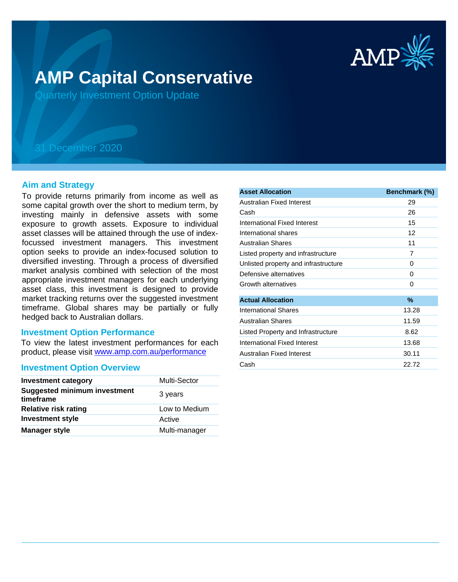

# **AMP Capital Conservative**

Quarterly Investment Option Update

## 31 December 2020

#### **Aim and Strategy**

To provide returns primarily from income as well as some capital growth over the short to medium term, by investing mainly in defensive assets with some exposure to growth assets. Exposure to individual asset classes will be attained through the use of indexfocussed investment managers. This investment option seeks to provide an index-focused solution to diversified investing. Through a process of diversified market analysis combined with selection of the most appropriate investment managers for each underlying asset class, this investment is designed to provide market tracking returns over the suggested investment timeframe. Global shares may be partially or fully hedged back to Australian dollars.

#### **Investment Option Performance**

product, please visit www.amp.com.au/performance To view the latest investment performances for each

#### **Investment Option Overview**

| <b>Investment category</b>                       | <b>Multi-Sector</b> |
|--------------------------------------------------|---------------------|
| <b>Suggested minimum investment</b><br>timeframe | 3 years             |
| <b>Relative risk rating</b>                      | Low to Medium       |
| <b>Investment style</b>                          | Active              |
| <b>Manager style</b>                             | Multi-manager       |

| <b>Asset Allocation</b>              | Benchmark (%) |
|--------------------------------------|---------------|
| Australian Fixed Interest            | 29            |
| Cash                                 | 26            |
| International Fixed Interest         | 15            |
| International shares                 | 12            |
| Australian Shares                    | 11            |
| Listed property and infrastructure   | 7             |
| Unlisted property and infrastructure | 0             |
| Defensive alternatives               | 0             |
| Growth alternatives                  | 0             |
| <b>Actual Allocation</b>             | $\%$          |
| <b>International Shares</b>          | 13.28         |
| <b>Australian Shares</b>             | 11.59         |
| Listed Property and Infrastructure   | 8.62          |
| International Fixed Interest         | 13.68         |
| Australian Fixed Interest            | 30.11         |
| Cash                                 | 22.72         |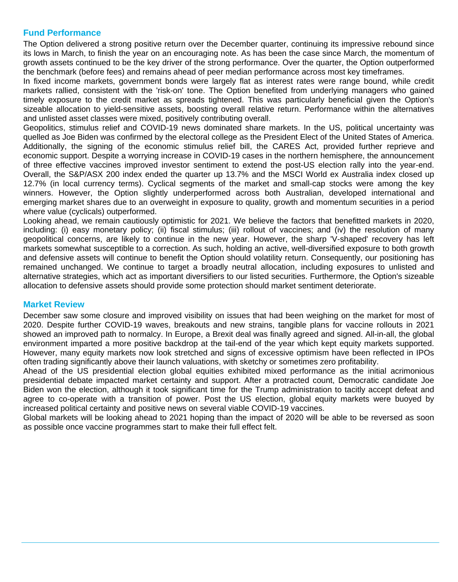### **Fund Performance**

The Option delivered a strong positive return over the December quarter, continuing its impressive rebound since its lows in March, to finish the year on an encouraging note. As has been the case since March, the momentum of growth assets continued to be the key driver of the strong performance. Over the quarter, the Option outperformed the benchmark (before fees) and remains ahead of peer median performance across most key timeframes.

In fixed income markets, government bonds were largely flat as interest rates were range bound, while credit markets rallied, consistent with the 'risk-on' tone. The Option benefited from underlying managers who gained timely exposure to the credit market as spreads tightened. This was particularly beneficial given the Option's sizeable allocation to yield-sensitive assets, boosting overall relative return. Performance within the alternatives and unlisted asset classes were mixed, positively contributing overall.

Geopolitics, stimulus relief and COVID-19 news dominated share markets. In the US, political uncertainty was quelled as Joe Biden was confirmed by the electoral college as the President Elect of the United States of America. Additionally, the signing of the economic stimulus relief bill, the CARES Act, provided further reprieve and economic support. Despite a worrying increase in COVID-19 cases in the northern hemisphere, the announcement of three effective vaccines improved investor sentiment to extend the post-US election rally into the year-end. Overall, the S&P/ASX 200 index ended the quarter up 13.7% and the MSCI World ex Australia index closed up 12.7% (in local currency terms). Cyclical segments of the market and small-cap stocks were among the key winners. However, the Option slightly underperformed across both Australian, developed international and emerging market shares due to an overweight in exposure to quality, growth and momentum securities in a period where value (cyclicals) outperformed.

Looking ahead, we remain cautiously optimistic for 2021. We believe the factors that benefitted markets in 2020, including: (i) easy monetary policy; (ii) fiscal stimulus; (iii) rollout of vaccines; and (iv) the resolution of many geopolitical concerns, are likely to continue in the new year. However, the sharp 'V-shaped' recovery has left markets somewhat susceptible to a correction. As such, holding an active, well-diversified exposure to both growth and defensive assets will continue to benefit the Option should volatility return. Consequently, our positioning has remained unchanged. We continue to target a broadly neutral allocation, including exposures to unlisted and alternative strategies, which act as important diversifiers to our listed securities. Furthermore, the Option's sizeable allocation to defensive assets should provide some protection should market sentiment deteriorate.

#### **Market Review**

December saw some closure and improved visibility on issues that had been weighing on the market for most of 2020. Despite further COVID-19 waves, breakouts and new strains, tangible plans for vaccine rollouts in 2021 showed an improved path to normalcy. In Europe, a Brexit deal was finally agreed and signed. All-in-all, the global environment imparted a more positive backdrop at the tail-end of the year which kept equity markets supported. However, many equity markets now look stretched and signs of excessive optimism have been reflected in IPOs often trading significantly above their launch valuations, with sketchy or sometimes zero profitability.

Ahead of the US presidential election global equities exhibited mixed performance as the initial acrimonious presidential debate impacted market certainty and support. After a protracted count, Democratic candidate Joe Biden won the election, although it took significant time for the Trump administration to tacitly accept defeat and agree to co-operate with a transition of power. Post the US election, global equity markets were buoyed by increased political certainty and positive news on several viable COVID-19 vaccines.

Global markets will be looking ahead to 2021 hoping than the impact of 2020 will be able to be reversed as soon as possible once vaccine programmes start to make their full effect felt.